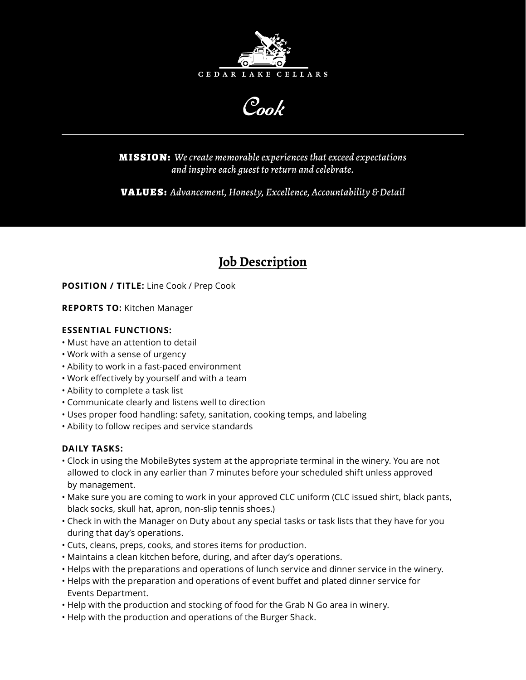

Cook

MISSION: *We create memorable experiences that exceed expectations and inspire each guest to return and celebrate.*

VALUES: *Advancement, Honesty, Excellence, Accountability & Detail*

# **Job Description**

**POSITION / TITLE:** Line Cook / Prep Cook

**REPORTS TO:** Kitchen Manager

### **ESSENTIAL FUNCTIONS:**

- Must have an attention to detail
- Work with a sense of urgency
- Ability to work in a fast-paced environment
- Work effectively by yourself and with a team
- Ability to complete a task list
- Communicate clearly and listens well to direction
- Uses proper food handling: safety, sanitation, cooking temps, and labeling
- Ability to follow recipes and service standards

## **DAILY TASKS:**

- Clock in using the MobileBytes system at the appropriate terminal in the winery. You are not allowed to clock in any earlier than 7 minutes before your scheduled shift unless approved by management.
- Make sure you are coming to work in your approved CLC uniform (CLC issued shirt, black pants, black socks, skull hat, apron, non-slip tennis shoes.)
- Check in with the Manager on Duty about any special tasks or task lists that they have for you during that day's operations.
- Cuts, cleans, preps, cooks, and stores items for production.
- Maintains a clean kitchen before, during, and after day's operations.
- Helps with the preparations and operations of lunch service and dinner service in the winery.
- Helps with the preparation and operations of event buffet and plated dinner service for Events Department.
- Help with the production and stocking of food for the Grab N Go area in winery.
- Help with the production and operations of the Burger Shack.